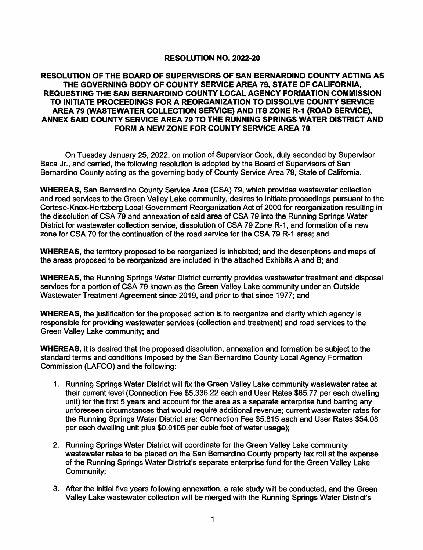## **RESOLUTION NO. 2022-20**

## **RESOLUTION OF THE BOARD OF SUPERVISORS OF SAN BERNARDINO COUNTY ACTING AS THE GOVERNING BODY OF COUNTY SERVICE AREA 79, STATE OF CALIFORNIA, REQUESTING THE SAN BERNARDINO COUNTY LOCAL AGENCY FORMATION COMMISSION TO INITIATE PROCEEDINGS FOR A REORGANIZATION TO DISSOLVE COUNTY SERVICE AREA 79 (WASTEWATER COLLECTION SERVICE) AND ITS ZONE R-1 (ROAD SERVICE),**  ANNEX SAID COUNTY SERVICE AREA 79 TO THE RUNNING SPRINGS WATER DISTRICT AND **FORM A NEW ZONE FOR COUNTY SERVICE AREA 70**

On Tuesday January 25, 2022, on motion of Supervisor Cook, duly seconded by Supervisor Baca Jr., and carried, the following resolution is adopted by the Board of Supervisors of San Bernardino County acting as the governing body of County Service Area 79, State of California.

**WHEREAS,** San Bernardino County Service Area {CSA) 79, which provides wastewater collection and road services to the Green Valley Lake community, desires to initiate proceedings pursuant to the Cortese-Knox-Hertzberg Local Government Reorganization Act of 2000 for reorganization resulting in the dissolution of CSA 79 and annexation of said area of CSA 79 into the Running Springs Water District for wastewater collection service, dissolution of CSA 79 Zone R-1, and formation of a new zone for CSA 70 for the continuation of the road service for the CSA 79 R-1 area; and

**WHEREAS,** the territory proposed to be reorganized is inhabited; and the descriptions and maps of the areas proposed to be reorganized are included in the attached Exhibits A and B; and

**WHEREAS,** the Running Springs Water District currently provides wastewater treatment and disposal services for a portion of CSA 79 known as the Green Valley Lake community under an Outside Wastewater Treatment Agreement since 2019, and prior to that since 1977; and

**WHEREAS,** the justification for the proposed action is to reorganize and clarify which agency is responsible for providing wastewater services { collection and treatment) and road services to the Green Valley Lake community; and

**WHEREAS,** it is desired that the proposed dissolution, annexation and formation be subject to the standard terms and conditions imposed by the San Bernardino County Local Agency Formation Commission {LAFCO) and the following:

- 1. Running Springs Water District will fix the Green Valley Lake community wastewater rates at their current level (Connection Fee \$5,336.22 each and User Rates \$65.77 per each dwelling unit) for the first 5 years and account for the area as a separate enterprise fund barring any unforeseen circumstances that would require additional revenue; current wastewater rates for the Running Springs Water District are: Connection Fee \$5,815 each and User Rates \$54.08 per each dwelling unit plus \$0.0105 per cubic foot of water usage);
- 2. Running Springs Water District will coordinate for the Green Valley Lake community wastewater rates to be placed on the San Bernardino County property tax roll at the expense of the Running Springs Water District's separate enterprise fund for the Green Valley Lake Community;
- 3. After the initial five years following annexation, a rate study will be conducted, and the Green Valley Lake wastewater collection will be merged with the Running Springs Water District's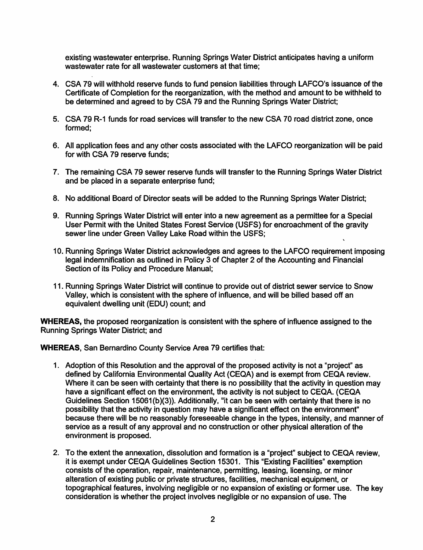existing wastewater enterprise. Running Springs Water District anticipates having a uniform wastewater rate for all wastewater customers at that time;

- 4. CSA 79 will withhold reserve funds to fund pension liabilities through LAFCO's issuance of the Certificate of Completion for the reorganization, with the method and amount to be withheld to be determined and agreed to by CSA 79 and the Running Springs Water District;
- 5. CSA 79 R-1 funds for road services will transfer to the new CSA 70 road district zone, once formed;
- 6. All application fees and any other costs associated with the LAFCO reorganization will be paid for with CSA 79 reserve funds;
- 7. The remaining CSA 79 sewer reserve funds will transfer to the Running Springs Water District and be placed in a separate enterprise fund;
- 8. No additional Board of Director seats will be added to the Running Springs Water District;
- 9. Running Springs Water District will enter into a new agreement as a permittee for a Special User Permit with the United States Forest Service (USFS) for encroachment of the gravity sewer line under Green Valley Lake Road within the USFS;
- 10. Running Springs Water District acknowledges and agrees to the LAFCO requirement imposing legal indemnification as outlined in Policy 3 of Chapter 2 of the Accounting and Financial Section of its Policy and Procedure Manual;
- 11. Running Springs Water District will continue to provide out of district sewer service to Snow Valley, which is consistent with the sphere of influence, and will be billed based off an equivalent dwelling unit (EDU) count; and

**WHEREAS,** the proposed reorganization is consistent with the sphere of influence assigned to the Running Springs Water District; and

**WHEREAS,** San Bernardino County Service Area 79 certifies that:

- 1. Adoption of this Resolution and the approval of the proposed activity is not a "project'' as defined by California Environmental Quality Act (CEQA) and is exempt from CEQA review. Where it can be seen with certainty that there is no possibility that the activity in question may have a significant effect on the environment, the activity is not subject to CEQA. (CEQA Guidelines Section 15061(b)(3)). Additionally, "it can be seen with certainty that there is no possibility that the activity in question may have a significant effect on the environment" because there will be no reasonably foreseeable change in the types, intensity, and manner of service as a result of any approval and no construction or other physical alteration of the environment is proposed.
- 2. To the extent the annexation, dissolution and formation is a "project" subject to CEQA review, it is exempt under CEQA Guidelines Section 15301. This "Existing Facilities" exemption consists of the operation, repair, maintenance, permitting, leasing, licensing, or minor alteration of existing public or private structures, facilities, mechanical equipment, or topographical features, involving negligible or no expansion of existing or former use. The key consideration is whether the project involves negligible or no expansion of use. The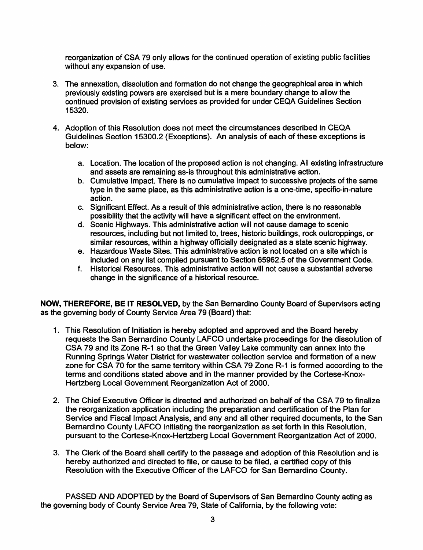reorganization of CSA 79 only allows for the continued operation of existing public facilities without any expansion of use.

- 3. The annexation, dissolution and formation do not change the geographical area in which previously existing powers are exercised but is a mere boundary change to allow the continued provision of existing services as provided for under CEQA Guidelines Section 15320.
- 4. Adoption of this Resolution does not meet the circumstances described in CEQA Guidelines Section 15300.2 (Exceptions). An analysis of each of these exceptions is below:
	- a. Location. The location of the proposed action is not changing. All existing infrastructure and assets are remaining as-is throughout this administrative action.
	- b. Cumulative Impact. There is no cumulative impact to successive projects of the same type in the same place, as this administrative action is a one-time, specific-in-nature action.
	- c. Significant Effect. As a result of this administrative action, there is no reasonable possibility that the activity will have a significant effect on the environment.
	- d. Scenic Highways. This administrative action will not cause damage to scenic resources, including but not limited to, trees, historic buildings, rock outcroppings, or similar resources, within a highway officially designated as a state scenic highway.
	- e. Hazardous Waste Sites. This administrative action is not located on a site which is included on any list compiled pursuant to Section 65962.5 of the Government Code.
	- f. Historical Resources. This administrative action will not cause a substantial adverse change in the significance of a historical resource.

**NOW, THEREFORE, BE IT RESOLVED,** by the San Bernardino County Board of Supervisors acting as the governing body of County Service Area 79 (Board) that:

- 1. This Resolution of Initiation is hereby adopted and approved and the Board hereby requests the San Bernardino County LAFCO undertake proceedings for the dissolution of CSA 79 and its Zone R-1 so that the Green Valley Lake community can annex into the Running Springs Water District for wastewater collection service and formation of a new zone for CSA 70 for the same territory within CSA 79 Zone R-1 is formed according to the terms and conditions stated above and in the manner provided by the Cortese-Knox-Hertzberg Local Government Reorganization Act of 2000.
- 2. The Chief Executive Officer is directed and authorized on behalf of the CSA 79 to finalize the reorganization application including the preparation and certification of the Plan for Service and Fiscal Impact Analysis, and any and all other required documents, to the San Bernardino County LAFCO initiating the reorganization as set forth in this Resolution, pursuant to the Cortese-Knox-Hertzberg Local Government Reorganization Act of 2000.
- 3. The Clerk of the Board shall certify to the passage and adoption of this Resolution and is hereby authorized and directed to file, or cause to be filed, a certified copy of this Resolution with the Executive Officer of the LAFCO for San Bernardino County.

PASSED AND ADOPTED by the Board of Supervisors of San Bernardino County acting as the governing body of County Service Area 79, State of California, by the following vote: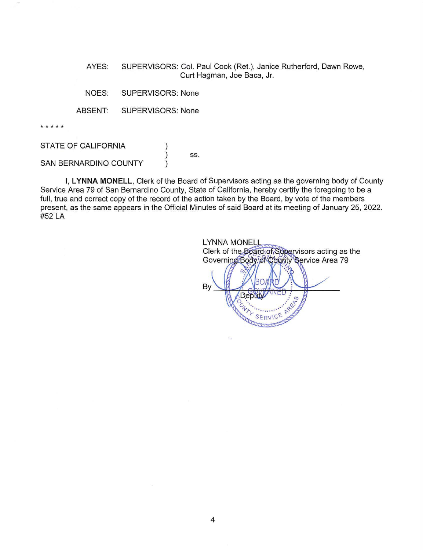AYES: SUPERVISORS: Col. Paul Cook (Ret.), Janice Rutherford, Dawn Rowe, Curt Hagman, Joe Baca, Jr.

NOES: SUPERVISORS: None

ABSENT: SUPERVISORS: None

\* \* \* \* \*

STATE OF CALIFORNIA

ss.

SAN BERNARDINO COUNTY

I, **LYNNA MONELL,** Clerk of the Board of Supervisors acting as the governing body of County Service Area 79 of San Bernardino County, State of California, hereby certify the foregoing to be a full, true and correct copy of the record of the action taken by the Board, by vote of the members present, as the same appears in the Official Minutes of said Board at its meeting of January 25, 2022. #52 LA

**LYNNA MONELL** Clerk of the Board of Supervisors acting as the Governing Body of County Service Area 79 Bv **PERS** Depty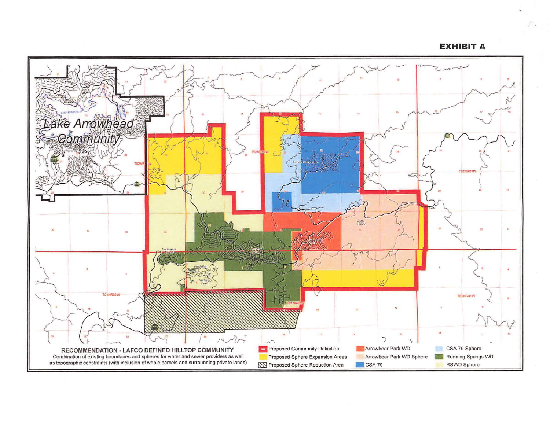**EXHIBIT A**